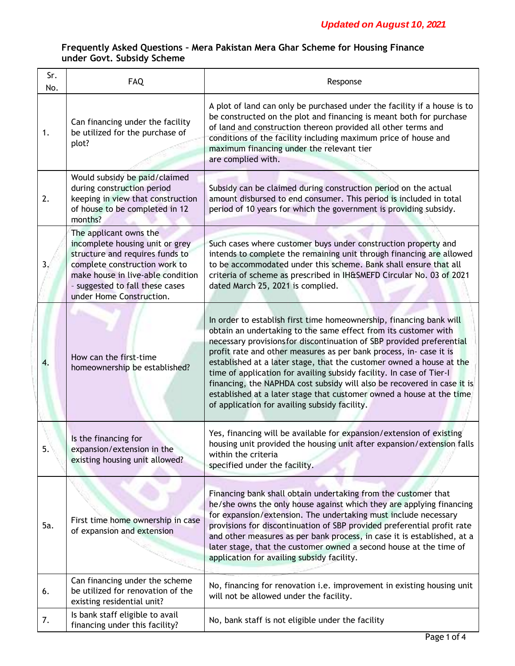| Sr.<br>No. | FAQ                                                                                                                                                                                                                               | Response                                                                                                                                                                                                                                                                                                                                                                                                                                                                                                                                                                                                                                  |
|------------|-----------------------------------------------------------------------------------------------------------------------------------------------------------------------------------------------------------------------------------|-------------------------------------------------------------------------------------------------------------------------------------------------------------------------------------------------------------------------------------------------------------------------------------------------------------------------------------------------------------------------------------------------------------------------------------------------------------------------------------------------------------------------------------------------------------------------------------------------------------------------------------------|
| 1.         | Can financing under the facility<br>be utilized for the purchase of<br>plot?                                                                                                                                                      | A plot of land can only be purchased under the facility if a house is to<br>be constructed on the plot and financing is meant both for purchase<br>of land and construction thereon provided all other terms and<br>conditions of the facility including maximum price of house and<br>maximum financing under the relevant tier<br>are complied with.                                                                                                                                                                                                                                                                                    |
| 2.         | Would subsidy be paid/claimed<br>during construction period<br>keeping in view that construction<br>of house to be completed in 12<br>months?                                                                                     | Subsidy can be claimed during construction period on the actual<br>amount disbursed to end consumer. This period is included in total<br>period of 10 years for which the government is providing subsidy.                                                                                                                                                                                                                                                                                                                                                                                                                                |
| 3.         | The applicant owns the<br>incomplete housing unit or grey<br>structure and requires funds to<br>complete construction work to<br>make house in live-able condition<br>- suggested to fall these cases<br>under Home Construction. | Such cases where customer buys under construction property and<br>intends to complete the remaining unit through financing are allowed<br>to be accommodated under this scheme. Bank shall ensure that all<br>criteria of scheme as prescribed in IH&SMEFD Circular No. 03 of 2021<br>dated March 25, 2021 is complied.                                                                                                                                                                                                                                                                                                                   |
| 4.         | How can the first-time<br>homeownership be established?                                                                                                                                                                           | In order to establish first time homeownership, financing bank will<br>obtain an undertaking to the same effect from its customer with<br>necessary provisions for discontinuation of SBP provided preferential<br>profit rate and other measures as per bank process, in- case it is<br>established at a later stage, that the customer owned a house at the<br>time of application for availing subsidy facility. In case of Tier-I<br>financing, the NAPHDA cost subsidy will also be recovered in case it is<br>established at a later stage that customer owned a house at the time<br>of application for availing subsidy facility. |
| 5.         | Is the financing for<br>expansion/extension in the<br>existing housing unit allowed?                                                                                                                                              | Yes, financing will be available for expansion/extension of existing<br>housing unit provided the housing unit after expansion/extension falls<br>within the criteria<br>specified under the facility.                                                                                                                                                                                                                                                                                                                                                                                                                                    |
| 5a.        | First time home ownership in case<br>of expansion and extension                                                                                                                                                                   | Financing bank shall obtain undertaking from the customer that<br>he/she owns the only house against which they are applying financing<br>for expansion/extension. The undertaking must include necessary<br>provisions for discontinuation of SBP provided preferential profit rate<br>and other measures as per bank process, in case it is established, at a<br>later stage, that the customer owned a second house at the time of<br>application for availing subsidy facility.                                                                                                                                                       |
| 6.         | Can financing under the scheme<br>be utilized for renovation of the<br>existing residential unit?                                                                                                                                 | No, financing for renovation i.e. improvement in existing housing unit<br>will not be allowed under the facility.                                                                                                                                                                                                                                                                                                                                                                                                                                                                                                                         |
| 7.         | Is bank staff eligible to avail<br>financing under this facility?                                                                                                                                                                 | No, bank staff is not eligible under the facility                                                                                                                                                                                                                                                                                                                                                                                                                                                                                                                                                                                         |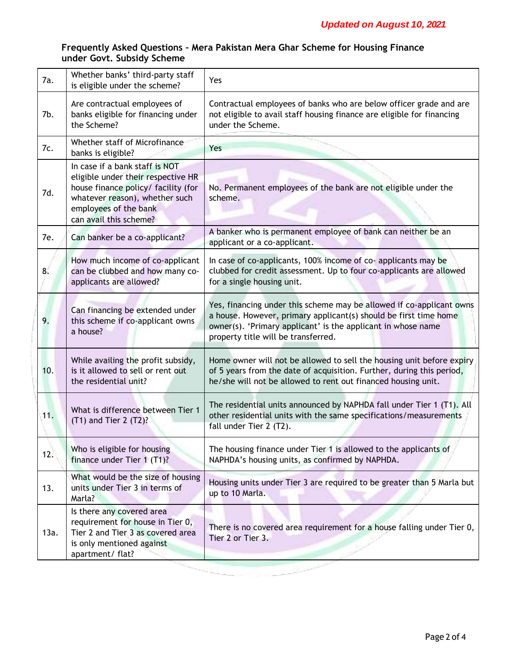| 7a.  | Whether banks' third-party staff<br>is eligible under the scheme?                                                                                                                                | Yes                                                                                                                                                                                                                                             |
|------|--------------------------------------------------------------------------------------------------------------------------------------------------------------------------------------------------|-------------------------------------------------------------------------------------------------------------------------------------------------------------------------------------------------------------------------------------------------|
| 7b.  | Are contractual employees of<br>banks eligible for financing under<br>the Scheme?                                                                                                                | Contractual employees of banks who are below officer grade and are<br>not eligible to avail staff housing finance are eligible for financing<br>under the Scheme.                                                                               |
| 7c.  | Whether staff of Microfinance<br>banks is eligible?                                                                                                                                              | Yes                                                                                                                                                                                                                                             |
| 7d.  | In case if a bank staff is NOT<br>eligible under their respective HR<br>house finance policy/ facility (for<br>whatever reason), whether such<br>employees of the bank<br>can avail this scheme? | No. Permanent employees of the bank are not eligible under the<br>scheme.                                                                                                                                                                       |
| 7e.  | Can banker be a co-applicant?                                                                                                                                                                    | A banker who is permanent employee of bank can neither be an<br>applicant or a co-applicant.                                                                                                                                                    |
| 8.   | How much income of co-applicant<br>can be clubbed and how many co-<br>applicants are allowed?                                                                                                    | In case of co-applicants, 100% income of co-applicants may be<br>clubbed for credit assessment. Up to four co-applicants are allowed<br>for a single housing unit.                                                                              |
| 9.   | Can financing be extended under<br>this scheme if co-applicant owns<br>a house?                                                                                                                  | Yes, financing under this scheme may be allowed if co-applicant owns<br>a house. However, primary applicant(s) should be first time home<br>owner(s). 'Primary applicant' is the applicant in whose name<br>property title will be transferred. |
| 10.  | While availing the profit subsidy,<br>is it allowed to sell or rent out<br>the residential unit?                                                                                                 | Home owner will not be allowed to sell the housing unit before expiry<br>of 5 years from the date of acquisition. Further, during this period,<br>he/she will not be allowed to rent out financed housing unit.                                 |
| 11.  | What is difference between Tier 1<br>$(T1)$ and Tier 2 $(T2)$ ?                                                                                                                                  | The residential units announced by NAPHDA fall under Tier 1 (T1). All<br>other residential units with the same specifications/measurements<br>fall under Tier 2 (T2).                                                                           |
| 12.  | Who is eligible for housing<br>finance under Tier 1 (T1)?                                                                                                                                        | The housing finance under Tier 1 is allowed to the applicants of<br>NAPHDA's housing units, as confirmed by NAPHDA.                                                                                                                             |
| 13.  | What would be the size of housing<br>units under Tier 3 in terms of<br>Marla?                                                                                                                    | Housing units under Tier 3 are required to be greater than 5 Marla but<br>up to 10 Marla.                                                                                                                                                       |
| 13a. | Is there any covered area<br>requirement for house in Tier 0,<br>Tier 2 and Tier 3 as covered area<br>is only mentioned against<br>apartment/ flat?                                              | There is no covered area requirement for a house falling under Tier 0,<br>Tier 2 or Tier 3.                                                                                                                                                     |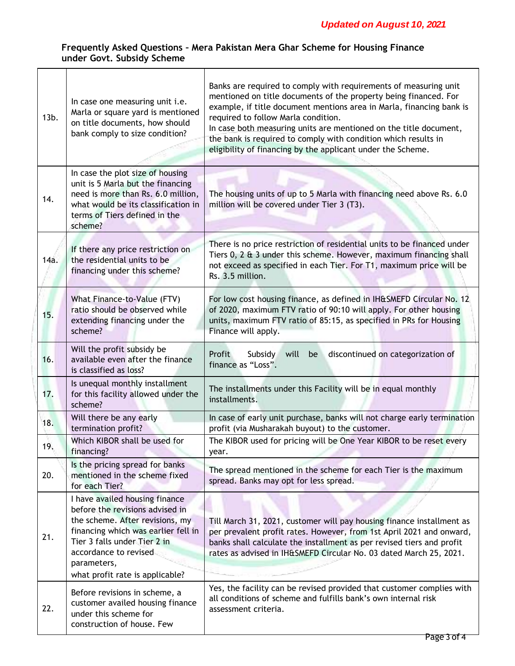| $13b$ . | In case one measuring unit i.e.<br>Marla or square yard is mentioned<br>on title documents, how should<br>bank comply to size condition?                                                                                                               | Banks are required to comply with requirements of measuring unit<br>mentioned on title documents of the property being financed. For<br>example, if title document mentions area in Marla, financing bank is<br>required to follow Marla condition.<br>In case both measuring units are mentioned on the title document,<br>the bank is required to comply with condition which results in<br>eligibility of financing by the applicant under the Scheme. |
|---------|--------------------------------------------------------------------------------------------------------------------------------------------------------------------------------------------------------------------------------------------------------|-----------------------------------------------------------------------------------------------------------------------------------------------------------------------------------------------------------------------------------------------------------------------------------------------------------------------------------------------------------------------------------------------------------------------------------------------------------|
| 14.     | In case the plot size of housing<br>unit is 5 Marla but the financing<br>need is more than Rs. 6.0 million,<br>what would be its classification in<br>terms of Tiers defined in the<br>scheme?                                                         | The housing units of up to 5 Marla with financing need above Rs. 6.0<br>million will be covered under Tier 3 (T3).                                                                                                                                                                                                                                                                                                                                        |
| 14a.    | If there any price restriction on<br>the residential units to be<br>financing under this scheme?                                                                                                                                                       | There is no price restriction of residential units to be financed under<br>Tiers 0, 2 & 3 under this scheme. However, maximum financing shall<br>not exceed as specified in each Tier. For T1, maximum price will be<br>Rs. 3.5 million.                                                                                                                                                                                                                  |
| 15.     | What Finance-to-Value (FTV)<br>ratio should be observed while<br>extending financing under the<br>scheme?                                                                                                                                              | For low cost housing finance, as defined in IH&SMEFD Circular No. 12<br>of 2020, maximum FTV ratio of 90:10 will apply. For other housing<br>units, maximum FTV ratio of 85:15, as specified in PRs for Housing<br>Finance will apply.                                                                                                                                                                                                                    |
| 16.     | Will the profit subsidy be<br>available even after the finance<br>is classified as loss?                                                                                                                                                               | Profit<br>Subsidy<br>will<br>discontinued on categorization of<br>be<br>finance as "Loss".                                                                                                                                                                                                                                                                                                                                                                |
| 17.     | Is unequal monthly installment<br>for this facility allowed under the<br>scheme?                                                                                                                                                                       | The installments under this Facility will be in equal monthly<br>installments.                                                                                                                                                                                                                                                                                                                                                                            |
| 18.     | Will there be any early<br>termination profit?                                                                                                                                                                                                         | In case of early unit purchase, banks will not charge early termination<br>profit (via Musharakah buyout) to the customer.                                                                                                                                                                                                                                                                                                                                |
| 19.     | Which KIBOR shall be used for<br>financing?                                                                                                                                                                                                            | The KIBOR used for pricing will be One Year KIBOR to be reset every<br>year.                                                                                                                                                                                                                                                                                                                                                                              |
| 20.     | Is the pricing spread for banks<br>mentioned in the scheme fixed<br>for each Tier?                                                                                                                                                                     | The spread mentioned in the scheme for each Tier is the maximum<br>spread. Banks may opt for less spread.                                                                                                                                                                                                                                                                                                                                                 |
| 21.     | I have availed housing finance<br>before the revisions advised in<br>the scheme. After revisions, my<br>financing which was earlier fell in<br>Tier 3 falls under Tier 2 in<br>accordance to revised<br>parameters,<br>what profit rate is applicable? | Till March 31, 2021, customer will pay housing finance installment as<br>per prevalent profit rates. However, from 1st April 2021 and onward,<br>banks shall calculate the installment as per revised tiers and profit<br>rates as advised in IH&SMEFD Circular No. 03 dated March 25, 2021.                                                                                                                                                              |
| 22.     | Before revisions in scheme, a<br>customer availed housing finance<br>under this scheme for<br>construction of house. Few                                                                                                                               | Yes, the facility can be revised provided that customer complies with<br>all conditions of scheme and fulfills bank's own internal risk<br>assessment criteria.                                                                                                                                                                                                                                                                                           |